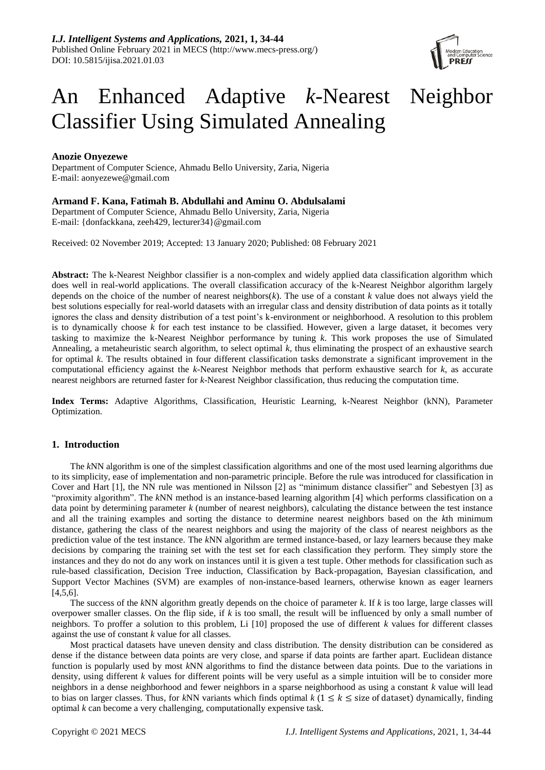

# An Enhanced Adaptive *k*-Nearest Neighbor Classifier Using Simulated Annealing

# **Anozie Onyezewe**

Department of Computer Science, Ahmadu Bello University, Zaria, Nigeria E-mail: aonyezewe@gmail.com

# **Armand F. Kana, Fatimah B. Abdullahi and Aminu O. Abdulsalami**

Department of Computer Science, Ahmadu Bello University, Zaria, Nigeria E-mail: {donfackkana, zeeh429, lecturer34}@gmail.com

Received: 02 November 2019; Accepted: 13 January 2020; Published: 08 February 2021

**Abstract:** The k-Nearest Neighbor classifier is a non-complex and widely applied data classification algorithm which does well in real-world applications. The overall classification accuracy of the k-Nearest Neighbor algorithm largely depends on the choice of the number of nearest neighbors $(k)$ . The use of a constant  $k$  value does not always yield the best solutions especially for real-world datasets with an irregular class and density distribution of data points as it totally ignores the class and density distribution of a test point's k-environment or neighborhood. A resolution to this problem is to dynamically choose *k* for each test instance to be classified. However, given a large dataset, it becomes very tasking to maximize the k-Nearest Neighbor performance by tuning *k*. This work proposes the use of Simulated Annealing, a metaheuristic search algorithm, to select optimal *k,* thus eliminating the prospect of an exhaustive search for optimal *k*. The results obtained in four different classification tasks demonstrate a significant improvement in the computational efficiency against the *k-*Nearest Neighbor methods that perform exhaustive search for *k,* as accurate nearest neighbors are returned faster for *k-*Nearest Neighbor classification, thus reducing the computation time.

**Index Terms:** Adaptive Algorithms, Classification, Heuristic Learning, k-Nearest Neighbor (kNN), Parameter Optimization.

# **1. Introduction**

The *k*NN algorithm is one of the simplest classification algorithms and one of the most used learning algorithms due to its simplicity, ease of implementation and non-parametric principle. Before the rule was introduced for classification in Cover and Hart [1], the NN rule was mentioned in Nilsson [2] as "minimum distance classifier" and Sebestyen [3] as "proximity algorithm". The *k*NN method is an instance-based learning algorithm [4] which performs classification on a data point by determining parameter *k* (number of nearest neighbors), calculating the distance between the test instance and all the training examples and sorting the distance to determine nearest neighbors based on the *k*th minimum distance, gathering the class of the nearest neighbors and using the majority of the class of nearest neighbors as the prediction value of the test instance. The *k*NN algorithm are termed instance-based, or lazy learners because they make decisions by comparing the training set with the test set for each classification they perform. They simply store the instances and they do not do any work on instances until it is given a test tuple. Other methods for classification such as rule-based classification, Decision Tree induction, Classification by Back-propagation, Bayesian classification, and Support Vector Machines (SVM) are examples of non-instance-based learners, otherwise known as eager learners [4,5,6].

The success of the *k*NN algorithm greatly depends on the choice of parameter *k*. If *k* is too large, large classes will overpower smaller classes. On the flip side, if *k* is too small, the result will be influenced by only a small number of neighbors. To proffer a solution to this problem, Li [10] proposed the use of different *k* values for different classes against the use of constant *k* value for all classes.

Most practical datasets have uneven density and class distribution. The density distribution can be considered as dense if the distance between data points are very close, and sparse if data points are farther apart. Euclidean distance function is popularly used by most *k*NN algorithms to find the distance between data points. Due to the variations in density, using different *k* values for different points will be very useful as a simple intuition will be to consider more neighbors in a dense neighborhood and fewer neighbors in a sparse neighborhood as using a constant *k* value will lead to bias on larger classes. Thus, for kNN variants which finds optimal  $k$  ( $1 \leq k \leq$  size of dataset) dynamically, finding optimal *k* can become a very challenging, computationally expensive task.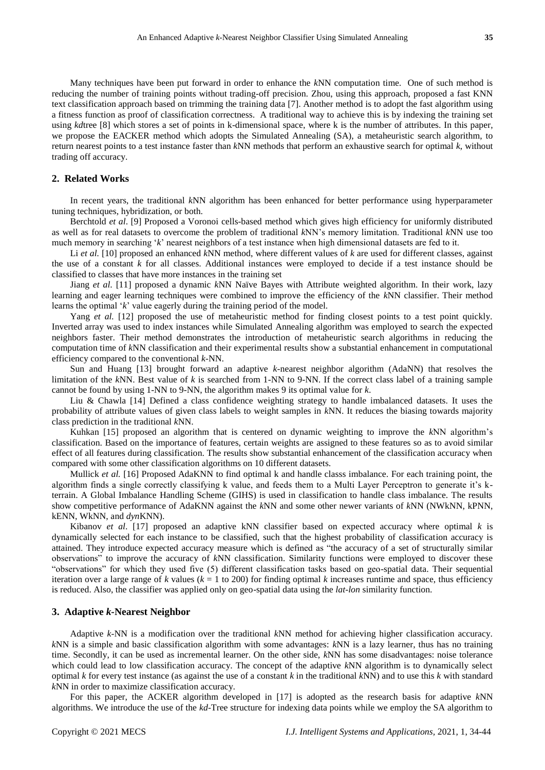Many techniques have been put forward in order to enhance the *k*NN computation time. One of such method is reducing the number of training points without trading-off precision. Zhou, using this approach, proposed a fast KNN text classification approach based on trimming the training data [7]. Another method is to adopt the fast algorithm using a fitness function as proof of classification correctness. A traditional way to achieve this is by indexing the training set using *kd*tree [8] which stores a set of points in k-dimensional space, where k is the number of attributes. In this paper, we propose the EACKER method which adopts the Simulated Annealing (SA), a metaheuristic search algorithm, to return nearest points to a test instance faster than *k*NN methods that perform an exhaustive search for optimal *k*, without trading off accuracy.

# **2. Related Works**

In recent years, the traditional *k*NN algorithm has been enhanced for better performance using hyperparameter tuning techniques, hybridization, or both.

Berchtold *et al*. [9] Proposed a Voronoi cells-based method which gives high efficiency for uniformly distributed as well as for real datasets to overcome the problem of traditional *k*NN's memory limitation. Traditional *k*NN use too much memory in searching '*k*' nearest neighbors of a test instance when high dimensional datasets are fed to it.

Li *et al.* [10] proposed an enhanced *kNN* method, where different values of *k* are used for different classes, against the use of a constant *k* for all classes. Additional instances were employed to decide if a test instance should be classified to classes that have more instances in the training set

Jiang *et al*. [11] proposed a dynamic *k*NN Naïve Bayes with Attribute weighted algorithm. In their work, lazy learning and eager learning techniques were combined to improve the efficiency of the *k*NN classifier. Their method learns the optimal '*k*' value eagerly during the training period of the model.

Yang *et al.* [12] proposed the use of metaheuristic method for finding closest points to a test point quickly. Inverted array was used to index instances while Simulated Annealing algorithm was employed to search the expected neighbors faster. Their method demonstrates the introduction of metaheuristic search algorithms in reducing the computation time of *k*NN classification and their experimental results show a substantial enhancement in computational efficiency compared to the conventional *k-*NN.

Sun and Huang [13] brought forward an adaptive *k*-nearest neighbor algorithm (AdaNN) that resolves the limitation of the *k*NN. Best value of *k* is searched from 1-NN to 9-NN. If the correct class label of a training sample cannot be found by using 1-NN to 9-NN, the algorithm makes 9 its optimal value for *k*.

Liu & Chawla [14] Defined a class confidence weighting strategy to handle imbalanced datasets. It uses the probability of attribute values of given class labels to weight samples in *k*NN. It reduces the biasing towards majority class prediction in the traditional *k*NN.

Kuhkan [15] proposed an algorithm that is centered on dynamic weighting to improve the *k*NN algorithm's classification. Based on the importance of features, certain weights are assigned to these features so as to avoid similar effect of all features during classification. The results show substantial enhancement of the classification accuracy when compared with some other classification algorithms on 10 different datasets.

Mullick *et al.* [16] Proposed AdaKNN to find optimal k and handle classs imbalance. For each training point, the algorithm finds a single correctly classifying k value, and feeds them to a Multi Layer Perceptron to generate it's kterrain. A Global Imbalance Handling Scheme (GIHS) is used in classification to handle class imbalance. The results show competitive performance of AdaKNN against the *k*NN and some other newer variants of *k*NN (NWkNN, kPNN, kENN, WkNN, and *dyn*KNN).

Kibanov *et al*. [17] proposed an adaptive kNN classifier based on expected accuracy where optimal *k* is dynamically selected for each instance to be classified, such that the highest probability of classification accuracy is attained. They introduce expected accuracy measure which is defined as "the accuracy of a set of structurally similar observations" to improve the accuracy of *k*NN classification. Similarity functions were employed to discover these "observations" for which they used five (5) different classification tasks based on geo-spatial data. Their sequential iteration over a large range of  $k$  values ( $k = 1$  to 200) for finding optimal  $k$  increases runtime and space, thus efficiency is reduced. Also, the classifier was applied only on geo-spatial data using the *lat-lon* similarity function.

#### **3. Adaptive** *k***-Nearest Neighbor**

Adaptive *k*-NN is a modification over the traditional *k*NN method for achieving higher classification accuracy. *k*NN is a simple and basic classification algorithm with some advantages: *k*NN is a lazy learner, thus has no training time. Secondly, it can be used as incremental learner. On the other side, *k*NN has some disadvantages: noise tolerance which could lead to low classification accuracy. The concept of the adaptive *k*NN algorithm is to dynamically select optimal *k* for every test instance (as against the use of a constant *k* in the traditional *k*NN) and to use this *k* with standard *k*NN in order to maximize classification accuracy.

For this paper, the ACKER algorithm developed in [17] is adopted as the research basis for adaptive *k*NN algorithms. We introduce the use of the *kd*-Tree structure for indexing data points while we employ the SA algorithm to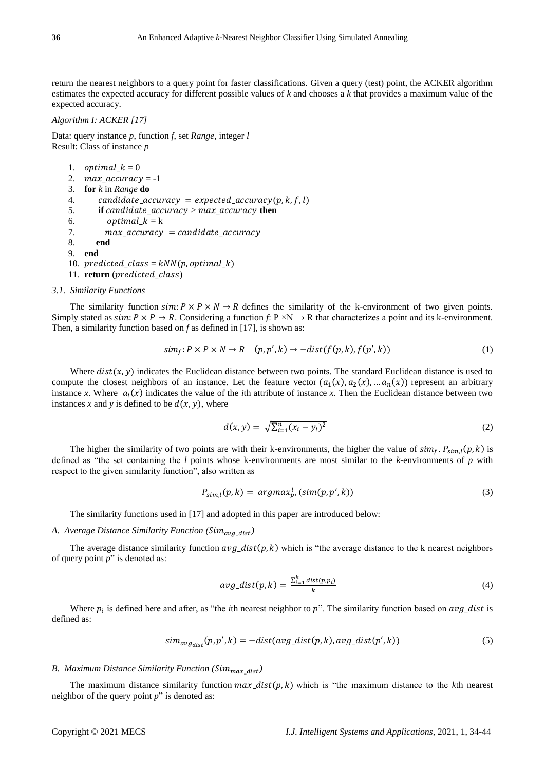return the nearest neighbors to a query point for faster classifications. Given a query (test) point, the ACKER algorithm estimates the expected accuracy for different possible values of *k* and chooses a *k* that provides a maximum value of the expected accuracy.

# *Algorithm I: ACKER [17]*

Data: query instance *p*, function *f*, set *Range*, integer *l* Result: Class of instance *p*

- 1. optimal\_ $k = 0$
- 2.  $max\_accuracy = -1$
- 3. **for** *k* in *Range* **do**
- 4. candidate accuracy = expected accuracy(p, k, f, l)
- 5. **if** candidate\_accuracy >  $max$ \_accuracy then
- 6. optimal<sub>k</sub> = k
- 7.  $max\_accuracy = candidate\_accuracy$
- 8. **end**
- 9. **end**
- 10.  $predicted\_class = kNN(p, optimal_k)$
- 11. **return** (*predicted\_class*)

#### *3.1. Similarity Functions*

The similarity function  $\sin: P \times P \times N \to R$  defines the similarity of the k-environment of two given points. Simply stated as  $\sin: P \times P \to R$ . Considering a function  $f: P \times N \to R$  that characterizes a point and its k-environment. Then, a similarity function based on *f* as defined in [17], is shown as:

$$
sim_f: P \times P \times N \to R \quad (p, p', k) \to -dist(f(p, k), f(p', k)) \tag{1}
$$

Where  $dist(x, y)$  indicates the Euclidean distance between two points. The standard Euclidean distance is used to compute the closest neighbors of an instance. Let the feature vector  $(a_1(x), a_2(x), \dots a_n(x))$  represent an arbitrary instance x. Where  $a_i(x)$  indicates the value of the *i*th attribute of instance x. Then the Euclidean distance between two instances  $x$  and  $y$  is defined to be  $d(x, y)$ , where

$$
d(x, y) = \sqrt{\sum_{i=1}^{n} (x_i - y_i)^2}
$$
 (2)

The higher the similarity of two points are with their k-environments, the higher the value of  $sim_f$ .  $P_{sim,l}(p, k)$  is defined as "the set containing the *l* points whose k-environments are most similar to the *k*-environments of *p* with respect to the given similarity function", also written as

$$
P_{\text{sim},l}(p,k) = \operatorname{argmax}_{p}^{l}, (\operatorname{sim}(p,p',k))
$$
\n(3)

The similarity functions used in [17] and adopted in this paper are introduced below:

### *A. Average Distance Similarity Function (Sim<sub>ava dist)*</sub>

The average distance similarity function  $avg\_dist(p, k)$  which is "the average distance to the k nearest neighbors" of query point *p*" is denoted as:

$$
avg\_dist(p,k) = \frac{\sum_{i=1}^{k} dist(p,p_i)}{k} \tag{4}
$$

Where  $p_i$  is defined here and after, as "the *i*th nearest neighbor to  $p$ ". The similarity function based on  $avg\_dist$  is defined as:

$$
sim_{avg_{dist}}(p, p', k) = -dist(avg\_dist(p, k), avg\_dist(p', k))
$$
\n(5)

#### *B. Maximum Distance Similarity Function (Sim<sub>max dist</sub>)*

The maximum distance similarity function  $max\_dist(p, k)$  which is "the maximum distance to the *k*th nearest neighbor of the query point *p*" is denoted as: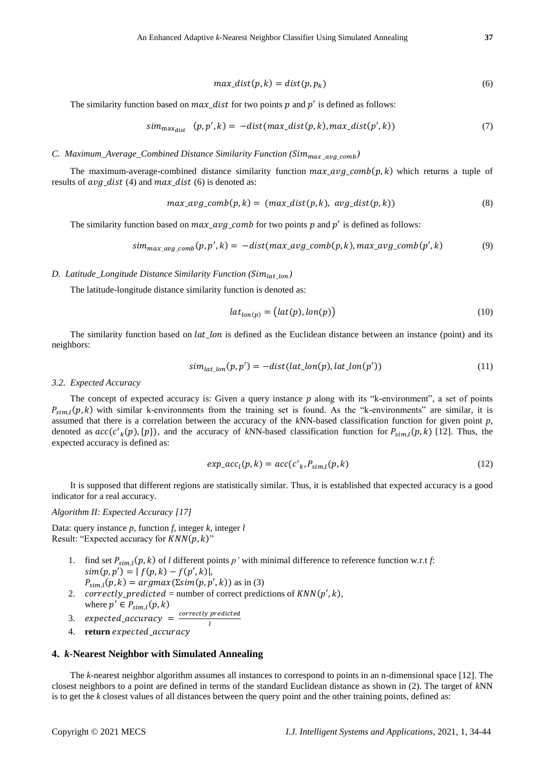$$
max\_dist(p,k) = dist(p,p_k)
$$
\n(6)

The similarity function based on  $max\_dist$  for two points p and p' is defined as follows:

$$
sim_{\text{max}_{dist}} (p, p', k) = -dist(max\_dist(p, k), max\_dist(p', k))
$$
\n<sup>(7)</sup>

# *C. Maximum\_Average\_Combined Distance Similarity Function (Sim<sub>max\_avg\_comb)*</sub>

The maximum-average-combined distance similarity function  $max\_avg\_comb(p, k)$  which returns a tuple of results of  $avg\_dist$  (4) and  $max\_dist$  (6) is denoted as:

$$
max\_avg\_comb(p,k) = (max\_dist(p,k), avg\_dist(p,k))
$$
\n(8)

The similarity function based on  $max\_avg\_comb$  for two points  $p$  and  $p'$  is defined as follows:

$$
sim_{max\_avg\_comb}(p, p', k) = -dist(max\_avg\_comb(p, k), max\_avg\_comb(p', k)
$$
 (9)

#### *D. Latitude\_Longitude Distance Similarity Function (Sim<sub>lat lon</sub>)*

The latitude-longitude distance similarity function is denoted as:

$$
lat_{lon(p)} = (lat(p), lon(p))
$$
\n(10)

The similarity function based on  $lat\_lon$  is defined as the Euclidean distance between an instance (point) and its neighbors:

$$
sim_{lat\_lon}(p, p') = -dist(lat\_lon(p), lat\_lon(p'))
$$
\n(11)

#### *3.2. Expected Accuracy*

The concept of expected accuracy is: Given a query instance *p* along with its "k-environment", a set of points  $P_{sim,l}(p, k)$  with similar k-environments from the training set is found. As the "k-environments" are similar, it is assumed that there is a correlation between the accuracy of the *k*NN-based classification function for given point *p*, denoted as  $acc(c'_{k}(p), \{p\})$ , and the accuracy of kNN-based classification function for  $P_{sim,l}(p, k)$  [12]. Thus, the expected accuracy is defined as:

$$
exp\_acc_l(p,k) = acc(c'_{k}, P_{sim,l}(p,k)
$$
\n(12)

It is supposed that different regions are statistically similar. Thus, it is established that expected accuracy is a good indicator for a real accuracy.

*Algorithm II: Expected Accuracy [17]*

Data: query instance *p*, function *f*, integer *k*, integer *l* Result: "Expected accuracy for  $KNN(p, k)$ "

- 1. find set  $P_{\text{sim},l}(p, k)$  of *l* different points *p*' with minimal difference to reference function w.r.t *f*:  $\dim(p, p') = | f(p, k) - f(p', k) |,$  $P_{\text{sim},l}(p,k) = argmax(\Sigma \text{sim}(p, p', k))$  as in (3)
- 2. correctly\_predicted = number of correct predictions of  $KNN(p', k)$ , where  $p' \in P_{\text{sim},l}(p,k)$
- 3. expected\_accuracy =  $\frac{correctly\ predicted}{1}$ l
- 4. **return** expected\_accuracy

#### **4.** *k***-Nearest Neighbor with Simulated Annealing**

The *k*-nearest neighbor algorithm assumes all instances to correspond to points in an n-dimensional space [12]. The closest neighbors to a point are defined in terms of the standard Euclidean distance as shown in (2). The target of *k*NN is to get the *k* closest values of all distances between the query point and the other training points, defined as: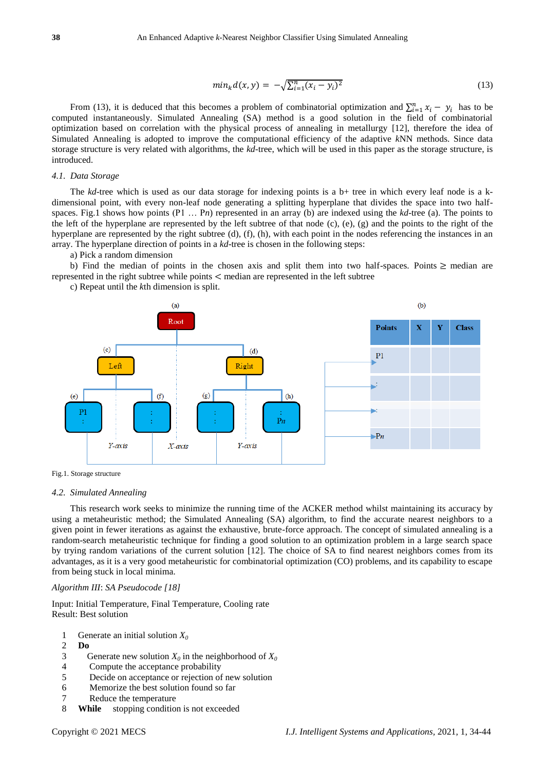$$
mink d(x, y) = -\sqrt{\sum_{i=1}^{n} (x_i - y_i)^2}
$$
\n(13)

From (13), it is deduced that this becomes a problem of combinatorial optimization and  $\sum_{i=1}^{n} x_i - y_i$  has to be computed instantaneously. Simulated Annealing (SA) method is a good solution in the field of combinatorial optimization based on correlation with the physical process of annealing in metallurgy [12], therefore the idea of Simulated Annealing is adopted to improve the computational efficiency of the adaptive *k*NN methods. Since data storage structure is very related with algorithms, the *kd-*tree, which will be used in this paper as the storage structure, is introduced.

#### *4.1. Data Storage*

The *kd*-tree which is used as our data storage for indexing points is a b+ tree in which every leaf node is a kdimensional point, with every non-leaf node generating a splitting hyperplane that divides the space into two halfspaces. Fig.1 shows how points (P1 … P*n*) represented in an array (b) are indexed using the *kd*-tree (a). The points to the left of the hyperplane are represented by the left subtree of that node (c), (e), (g) and the points to the right of the hyperplane are represented by the right subtree (d), (f), (h), with each point in the nodes referencing the instances in an array. The hyperplane direction of points in a *kd*-tree is chosen in the following steps:

a) Pick a random dimension

b) Find the median of points in the chosen axis and split them into two half-spaces. Points ≥ median are represented in the right subtree while points < median are represented in the left subtree

c) Repeat until the *k*th dimension is split.



Fig.1. Storage structure

#### *4.2. Simulated Annealing*

This research work seeks to minimize the running time of the ACKER method whilst maintaining its accuracy by using a metaheuristic method; the Simulated Annealing (SA) algorithm, to find the accurate nearest neighbors to a given point in fewer iterations as against the exhaustive, brute-force approach. The concept of simulated annealing is a random-search metaheuristic technique for finding a good solution to an optimization problem in a large search space by trying random variations of the current solution [12]. The choice of SA to find nearest neighbors comes from its advantages, as it is a very good metaheuristic for combinatorial optimization (CO) problems, and its capability to escape from being stuck in local minima.

#### *Algorithm III*: *SA Pseudocode [18]*

Input: Initial Temperature, Final Temperature, Cooling rate Result: Best solution

- 1 Generate an initial solution *X<sup>0</sup>*
- 2 **Do**
- 3 Generate new solution  $X_0$  in the neighborhood of  $X_0$
- 4 Compute the acceptance probability
- 5 Decide on acceptance or rejection of new solution
- 6 Memorize the best solution found so far
- 7 Reduce the temperature
- 8 **While** stopping condition is not exceeded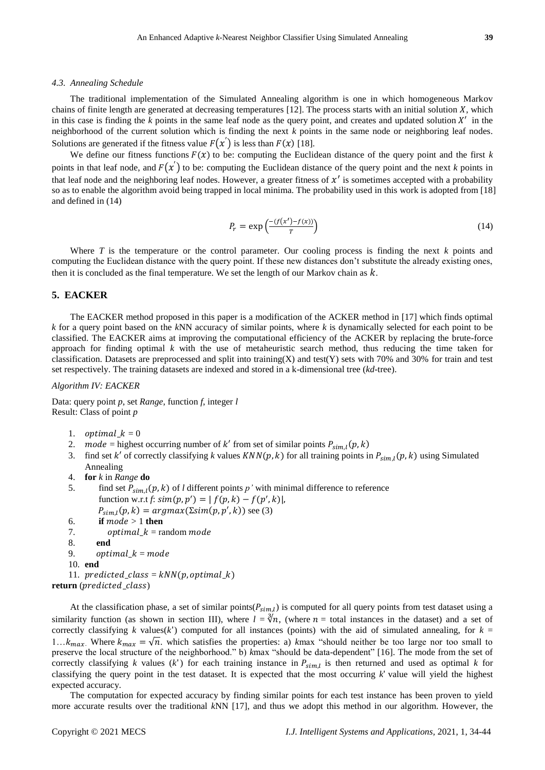#### *4.3. Annealing Schedule*

The traditional implementation of the Simulated Annealing algorithm is one in which homogeneous Markov chains of finite length are generated at decreasing temperatures  $[12]$ . The process starts with an initial solution X, which in this case is finding the  $k$  points in the same leaf node as the query point, and creates and updated solution  $X'$  in the neighborhood of the current solution which is finding the next *k* points in the same node or neighboring leaf nodes. Solutions are generated if the fitness value  $F(x')$  is less than  $F(x)$  [18].

We define our fitness functions  $F(x)$  to be: computing the Euclidean distance of the query point and the first *k* points in that leaf node, and  $F(x')$  to be: computing the Euclidean distance of the query point and the next *k* points in that leaf node and the neighboring leaf nodes. However, a greater fitness of  $x'$  is sometimes accepted with a probability so as to enable the algorithm avoid being trapped in local minima. The probability used in this work is adopted from [18] and defined in (14)

$$
P_r = \exp\left(\frac{-(f(x') - f(x))}{T}\right) \tag{14}
$$

Where *T* is the temperature or the control parameter. Our cooling process is finding the next *k* points and computing the Euclidean distance with the query point. If these new distances don't substitute the already existing ones, then it is concluded as the final temperature. We set the length of our Markov chain as  $k$ .

# **5. EACKER**

The EACKER method proposed in this paper is a modification of the ACKER method in [17] which finds optimal *k* for a query point based on the *k*NN accuracy of similar points, where *k* is dynamically selected for each point to be classified. The EACKER aims at improving the computational efficiency of the ACKER by replacing the brute-force approach for finding optimal *k* with the use of metaheuristic search method, thus reducing the time taken for classification. Datasets are preprocessed and split into training(X) and test(Y) sets with 70% and 30% for train and test set respectively. The training datasets are indexed and stored in a k-dimensional tree (*kd*-tree).

### *Algorithm IV: EACKER*

Data: query point *p*, set *Range*, function *f*, integer *l* Result: Class of point *p*

- 1. optimal  $k = 0$
- 2. *mode* = highest occurring number of k' from set of similar points  $P_{sim,l}(p, k)$
- 3. find set k' of correctly classifying k values  $KNN(p, k)$  for all training points in  $P_{sim,l}(p, k)$  using Simulated Annealing
- 4. **for** *k* in *Range* **do**
- 5. **find set**  $P_{sim,l}(p, k)$  **of** *l* **different points** *p***' with minimal difference to reference** function w.r.t *f*:  $\text{sim}(p, p') = | f(p, k) - f(p', k) |$ ,
	- $P_{sim,l}(p, k) = argmax(\Sigma sim(p, p', k))$  see (3)
- 6. **if**  $mode > 1$  **then**
- 7.  $optimal_k = \text{random mode}$
- 8. **end**
- 9. optimal\_ $k = mode$
- 10. **end**

```
11. predicted\_class = kNN(p, optimal_k)
```

```
return (predicted_class)
```
At the classification phase, a set of similar points( $P_{sim,l}$ ) is computed for all query points from test dataset using a similarity function (as shown in section III), where  $l = \sqrt[3]{n}$ , (where  $n =$  total instances in the dataset) and a set of correctly classifying  $k$  values( $k'$ ) computed for all instances (points) with the aid of simulated annealing, for  $k =$ 1… $k_{max}$ . Where  $k_{max} = \sqrt{n}$ , which satisfies the properties: a) *kmax* "should neither be too large nor too small to preserve the local structure of the neighborhood." b) *k*max "should be data-dependent" [16]. The mode from the set of correctly classifying *k* values  $(k')$  for each training instance in  $P_{\text{sim},l}$  is then returned and used as optimal *k* for classifying the query point in the test dataset. It is expected that the most occurring *k*ʹ value will yield the highest expected accuracy.

The computation for expected accuracy by finding similar points for each test instance has been proven to yield more accurate results over the traditional *k*NN [17], and thus we adopt this method in our algorithm. However, the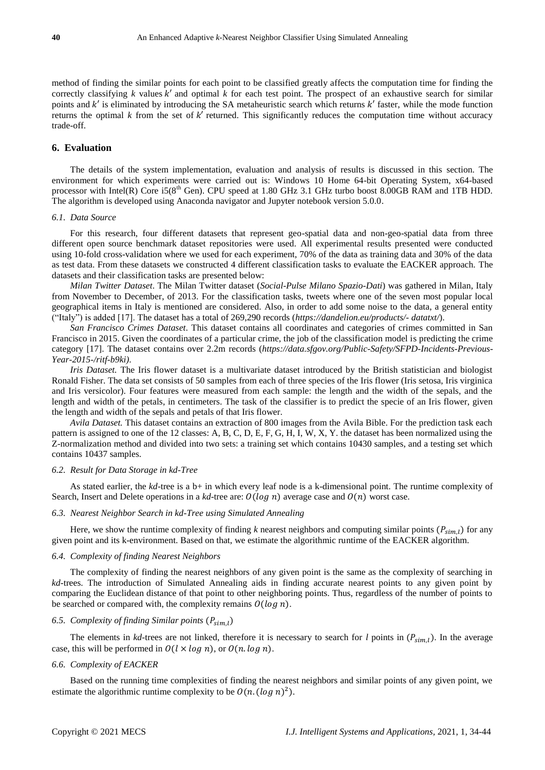method of finding the similar points for each point to be classified greatly affects the computation time for finding the correctly classifying  $k$  values  $k'$  and optimal  $k$  for each test point. The prospect of an exhaustive search for similar points and  $k'$  is eliminated by introducing the SA metaheuristic search which returns  $k'$  faster, while the mode function returns the optimal  $k$  from the set of  $k'$  returned. This significantly reduces the computation time without accuracy trade-off.

# **6. Evaluation**

The details of the system implementation, evaluation and analysis of results is discussed in this section. The environment for which experiments were carried out is: Windows 10 Home 64-bit Operating System, x64-based processor with Intel(R) Core i5(8<sup>th</sup> Gen). CPU speed at 1.80 GHz 3.1 GHz turbo boost 8.00GB RAM and 1TB HDD. The algorithm is developed using Anaconda navigator and Jupyter notebook version 5.0.0.

#### *6.1. Data Source*

For this research, four different datasets that represent geo-spatial data and non-geo-spatial data from three different open source benchmark dataset repositories were used. All experimental results presented were conducted using 10-fold cross-validation where we used for each experiment, 70% of the data as training data and 30% of the data as test data. From these datasets we constructed 4 different classification tasks to evaluate the EACKER approach. The datasets and their classification tasks are presented below:

*Milan Twitter Dataset*. The Milan Twitter dataset (*Social-Pulse Milano Spazio-Dati*) was gathered in Milan, Italy from November to December, of 2013. For the classification tasks, tweets where one of the seven most popular local geographical items in Italy is mentioned are considered. Also, in order to add some noise to the data, a general entity ("Italy") is added [17]. The dataset has a total of 269,290 records (*https://dandelion.eu/products/- datatxt/*).

*San Francisco Crimes Dataset*. This dataset contains all coordinates and categories of crimes committed in San Francisco in 2015. Given the coordinates of a particular crime, the job of the classification model is predicting the crime category [17]. The dataset contains over 2.2m records (*https://data.sfgov.org/Public-Safety/SFPD-Incidents-Previous-Year-2015-/ritf-b9ki)*.

*Iris Dataset.* The Iris flower dataset is a multivariate dataset introduced by the British statistician and biologist Ronald Fisher. The data set consists of 50 samples from each of three species of the Iris flower (Iris setosa, Iris virginica and Iris versicolor). Four features were measured from each sample: the length and the width of the sepals, and the length and width of the petals, in centimeters. The task of the classifier is to predict the specie of an Iris flower, given the length and width of the sepals and petals of that Iris flower.

*Avila Dataset.* This dataset contains an extraction of 800 images from the Avila Bible. For the prediction task each pattern is assigned to one of the 12 classes: A, B, C, D, E, F, G, H, I, W, X, Y. the dataset has been normalized using the Z-normalization method and divided into two sets: a training set which contains 10430 samples, and a testing set which contains 10437 samples.

#### *6.2. Result for Data Storage in kd-Tree*

As stated earlier, the *kd*-tree is a b+ in which every leaf node is a k-dimensional point. The runtime complexity of Search, Insert and Delete operations in a *kd*-tree are:  $O(log n)$  average case and  $O(n)$  worst case.

#### *6.3. Nearest Neighbor Search in kd-Tree using Simulated Annealing*

Here, we show the runtime complexity of finding *k* nearest neighbors and computing similar points ( $P_{sim,l}$ ) for any given point and its k-environment. Based on that, we estimate the algorithmic runtime of the EACKER algorithm.

#### *6.4. Complexity of finding Nearest Neighbors*

The complexity of finding the nearest neighbors of any given point is the same as the complexity of searching in *kd-*trees. The introduction of Simulated Annealing aids in finding accurate nearest points to any given point by comparing the Euclidean distance of that point to other neighboring points. Thus, regardless of the number of points to be searched or compared with, the complexity remains  $O(log n)$ .

#### 6.5. Complexity of finding Similar points  $(P_{\text{sim,l}})$

The elements in *kd*-trees are not linked, therefore it is necessary to search for *l* points in  $(P_{\text{sim }l})$ . In the average case, this will be performed in  $O(l \times log n)$ , or  $O(n log n)$ .

#### *6.6. Complexity of EACKER*

Based on the running time complexities of finding the nearest neighbors and similar points of any given point, we estimate the algorithmic runtime complexity to be  $O(n. (\log n)^2)$ .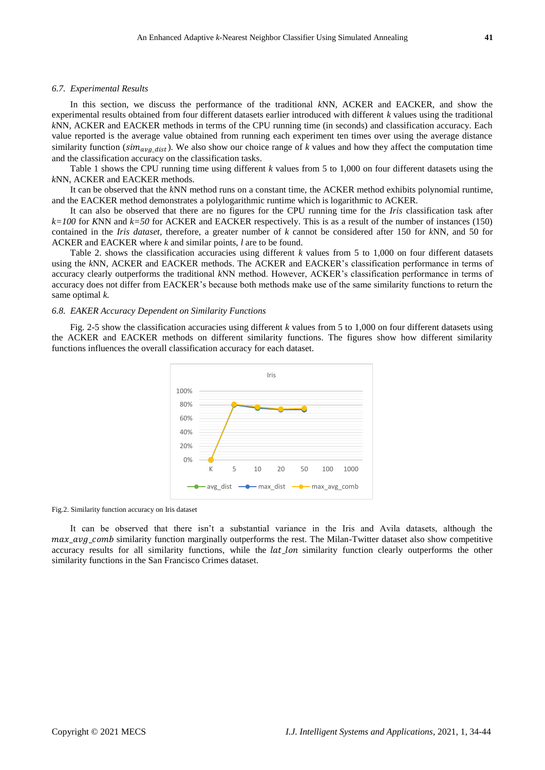#### *6.7. Experimental Results*

In this section, we discuss the performance of the traditional *k*NN, ACKER and EACKER, and show the experimental results obtained from four different datasets earlier introduced with different *k* values using the traditional *k*NN, ACKER and EACKER methods in terms of the CPU running time (in seconds) and classification accuracy. Each value reported is the average value obtained from running each experiment ten times over using the average distance similarity function ( $\sin n_{avg\_dist}$ ). We also show our choice range of *k* values and how they affect the computation time and the classification accuracy on the classification tasks.

Table 1 shows the CPU running time using different *k* values from 5 to 1,000 on four different datasets using the *k*NN, ACKER and EACKER methods.

It can be observed that the *k*NN method runs on a constant time, the ACKER method exhibits polynomial runtime, and the EACKER method demonstrates a polylogarithmic runtime which is logarithmic to ACKER.

It can also be observed that there are no figures for the CPU running time for the *Iris* classification task after *k=100* for *K*NN and *k=50* for ACKER and EACKER respectively. This is as a result of the number of instances (150) contained in the *Iris dataset,* therefore, a greater number of *k* cannot be considered after 150 for *k*NN, and 50 for ACKER and EACKER where *k* and similar points, *l* are to be found.

Table 2. shows the classification accuracies using different *k* values from 5 to 1,000 on four different datasets using the *k*NN, ACKER and EACKER methods. The ACKER and EACKER's classification performance in terms of accuracy clearly outperforms the traditional *k*NN method. However, ACKER's classification performance in terms of accuracy does not differ from EACKER's because both methods make use of the same similarity functions to return the same optimal *k.*

#### *6.8. EAKER Accuracy Dependent on Similarity Functions*

Fig. 2-5 show the classification accuracies using different *k* values from 5 to 1,000 on four different datasets using the ACKER and EACKER methods on different similarity functions. The figures show how different similarity functions influences the overall classification accuracy for each dataset.



Fig.2. Similarity function accuracy on Iris dataset

It can be observed that there isn't a substantial variance in the Iris and Avila datasets, although the max avg comb similarity function marginally outperforms the rest. The Milan-Twitter dataset also show competitive accuracy results for all similarity functions, while the  $lat\_lon$  similarity function clearly outperforms the other similarity functions in the San Francisco Crimes dataset.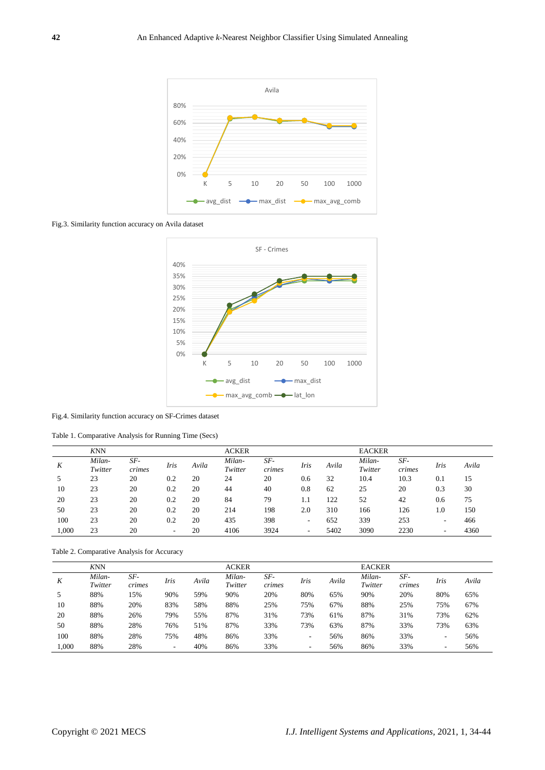

Fig.3. Similarity function accuracy on Avila dataset



Fig.4. Similarity function accuracy on SF-Crimes dataset

Table 1. Comparative Analysis for Running Time (Secs)

|       | <b>KNN</b>        |                      |                          |       | <b>ACKER</b>      |               |      |       | <b>EACKER</b>     |               |      |       |
|-------|-------------------|----------------------|--------------------------|-------|-------------------|---------------|------|-------|-------------------|---------------|------|-------|
| K     | Milan-<br>Twitter | SF-<br><i>crimes</i> | Iris                     | Avila | Milan-<br>Twitter | SF-<br>crimes | Iris | Avila | Milan-<br>Twitter | SF-<br>crimes | Iris | Avila |
|       | 23                | 20                   | 0.2                      | 20    | 24                | 20            | 0.6  | 32    | 10.4              | 10.3          | 0.1  | 15    |
| 10    | 23                | 20                   | 0.2                      | 20    | 44                | 40            | 0.8  | 62    | 25                | 20            | 0.3  | 30    |
| 20    | 23                | 20                   | 0.2                      | 20    | 84                | 79            | 1.1  | 122   | 52                | 42            | 0.6  | 75    |
| 50    | 23                | 20                   | 0.2                      | 20    | 214               | 198           | 2.0  | 310   | 166               | 126           | 1.0  | 150   |
| 100   | 23                | 20                   | 0.2                      | 20    | 435               | 398           | ۰    | 652   | 339               | 253           | ۰    | 466   |
| 1.000 | 23                | 20                   | $\overline{\phantom{0}}$ | 20    | 4106              | 3924          | ۰    | 5402  | 3090              | 2230          | ۰    | 4360  |

Table 2. Comparative Analysis for Accuracy

|       | <b>KNN</b>        |               |                          |       | <b>ACKER</b>      |               |      |       | <b>EACKER</b>     |               |                 |       |
|-------|-------------------|---------------|--------------------------|-------|-------------------|---------------|------|-------|-------------------|---------------|-----------------|-------|
| K     | Milan-<br>Twitter | SF-<br>crimes | Iris                     | Avila | Milan-<br>Twitter | SF-<br>crimes | Iris | Avila | Milan-<br>Twitter | SF-<br>crimes | Iris            | Avila |
|       | 88%               | 15%           | 90%                      | 59%   | 90%               | 20%           | 80%  | 65%   | 90%               | 20%           | 80%             | 65%   |
| 10    | 88%               | 20%           | 83%                      | 58%   | 88%               | 25%           | 75%  | 67%   | 88%               | 25%           | 75%             | 67%   |
| 20    | 88%               | 26%           | 79%                      | 55%   | 87%               | 31%           | 73%  | 61%   | 87%               | 31%           | 73%             | 62%   |
| 50    | 88%               | 28%           | 76%                      | 51%   | 87%               | 33%           | 73%  | 63%   | 87%               | 33%           | 73%             | 63%   |
| 100   | 88%               | 28%           | 75%                      | 48%   | 86%               | 33%           | ۰    | 56%   | 86%               | 33%           | -               | 56%   |
| 1.000 | 88%               | 28%           | $\overline{\phantom{a}}$ | 40%   | 86%               | 33%           | ۰    | 56%   | 86%               | 33%           | $\qquad \qquad$ | 56%   |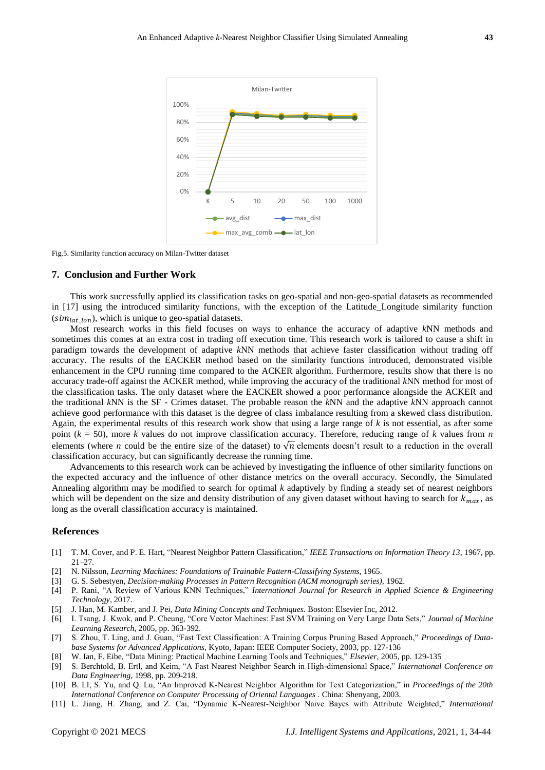

Fig.5. Similarity function accuracy on Milan-Twitter dataset

### **7. Conclusion and Further Work**

This work successfully applied its classification tasks on geo-spatial and non-geo-spatial datasets as recommended in [17] using the introduced similarity functions, with the exception of the Latitude\_Longitude similarity function  $(\sin n_{lat,lon})$ , which is unique to geo-spatial datasets.

Most research works in this field focuses on ways to enhance the accuracy of adaptive *k*NN methods and sometimes this comes at an extra cost in trading off execution time. This research work is tailored to cause a shift in paradigm towards the development of adaptive *k*NN methods that achieve faster classification without trading off accuracy. The results of the EACKER method based on the similarity functions introduced, demonstrated visible enhancement in the CPU running time compared to the ACKER algorithm. Furthermore, results show that there is no accuracy trade-off against the ACKER method, while improving the accuracy of the traditional *k*NN method for most of the classification tasks. The only dataset where the EACKER showed a poor performance alongside the ACKER and the traditional *k*NN is the SF - Crimes dataset. The probable reason the *k*NN and the adaptive *k*NN approach cannot achieve good performance with this dataset is the degree of class imbalance resulting from a skewed class distribution. Again, the experimental results of this research work show that using a large range of *k* is not essential, as after some point (*k* = 50), more *k* values do not improve classification accuracy. Therefore, reducing range of *k* values from *n* elements (where *n* could be the entire size of the dataset) to  $\sqrt{n}$  elements doesn't result to a reduction in the overall classification accuracy, but can significantly decrease the running time.

Advancements to this research work can be achieved by investigating the influence of other similarity functions on the expected accuracy and the influence of other distance metrics on the overall accuracy. Secondly, the Simulated Annealing algorithm may be modified to search for optimal *k* adaptively by finding a steady set of nearest neighbors which will be dependent on the size and density distribution of any given dataset without having to search for  $k_{max}$ , as long as the overall classification accuracy is maintained.

#### **References**

- [1] T. M. Cover, and P. E. Hart, "Nearest Neighbor Pattern Classification," *IEEE Transactions on Information Theory 13*, 1967, pp. 21–27.
- [2] N. Nilsson, *Learning Machines: Foundations of Trainable Pattern-Classifying Systems*, 1965.
- [3] G. S. Sebestyen, *Decision-making Processes in Pattern Recognition (ACM monograph series),* 1962.
- [4] P. Rani, "A Review of Various KNN Techniques," *International Journal for Research in Applied Science & Engineering Technology*, 2017.
- [5] J. Han, M. Kamber, and J. Pei, *Data Mining Concepts and Techniques.* Boston: Elsevier Inc, 2012.
- [6] I. Tsang, J. Kwok, and P. Cheung, "Core Vector Machines: Fast SVM Training on Very Large Data Sets," *Journal of Machine Learning Research*, 2005, pp. 363-392.
- [7] S. Zhou, T. Ling, and J. Guan, "Fast Text Classification: A Training Corpus Pruning Based Approach," *Proceedings of Database Systems for Advanced Applications*, Kyoto, Japan: IEEE Computer Society, 2003, pp. 127-136
- [8] W. Ian, F. Eibe, "Data Mining: Practical Machine Learning Tools and Techniques," *Elsevier,* 2005, pp. 129-135
- [9] S. Berchtold, B. Ertl, and Keim, "A Fast Nearest Neighbor Search in High-dimensional Space," *International Conference on Data Engineering*, 1998, pp. 209-218.
- [10] B. LI, S. Yu, and Q. Lu, "An Improved K-Nearest Neighbor Algorithm for Text Categorization," in *Proceedings of the 20th International Conference on Computer Processing of Oriental Languages .* China: Shenyang, 2003.
- [11] L. Jiang, H. Zhang, and Z. Cai, "Dynamic K-Nearest-Neighbor Naive Bayes with Attribute Weighted," *International*